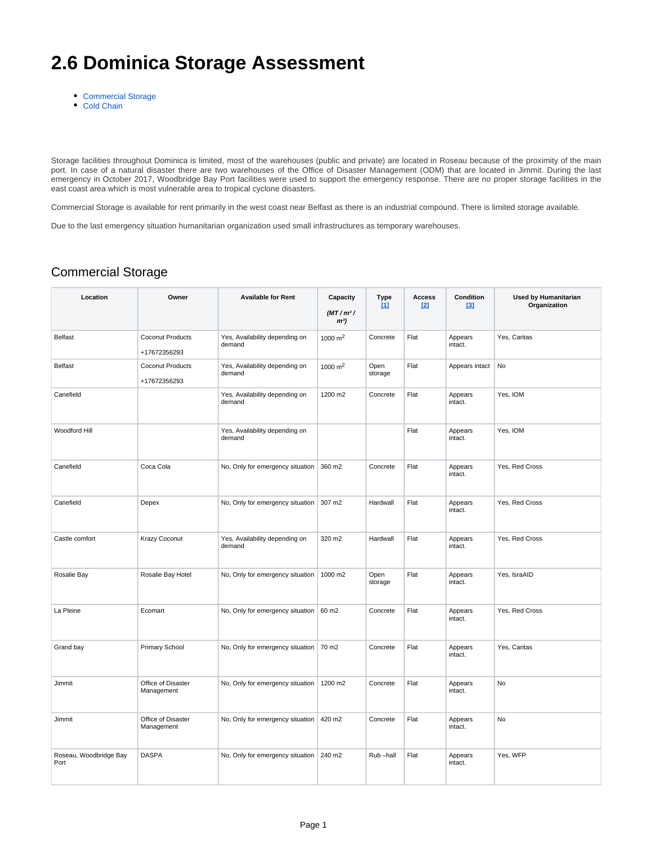## **2.6 Dominica Storage Assessment**

- [Commercial Storage](#page-0-0)
- [Cold Chain](#page-1-0)

Storage facilities throughout Dominica is limited, most of the warehouses (public and private) are located in Roseau because of the proximity of the main port. In case of a natural disaster there are two warehouses of the Office of Disaster Management (ODM) that are located in Jimmit. During the last emergency in October 2017, Woodbridge Bay Port facilities were used to support the emergency response. There are no proper storage facilities in the east coast area which is most vulnerable area to tropical cyclone disasters.

Commercial Storage is available for rent primarily in the west coast near Belfast as there is an industrial compound. There is limited storage available.

Due to the last emergency situation humanitarian organization used small infrastructures as temporary warehouses.

## <span id="page-0-0"></span>Commercial Storage

| Location                       | Owner                            | <b>Available for Rent</b>                | Capacity<br>$(MT/m^2)$<br>m <sup>3</sup> | Type<br>111     | <b>Access</b><br>121 | <b>Condition</b><br><b>131</b> | <b>Used by Humanitarian</b><br>Organization |
|--------------------------------|----------------------------------|------------------------------------------|------------------------------------------|-----------------|----------------------|--------------------------------|---------------------------------------------|
| <b>Belfast</b>                 | Coconut Products<br>+17672356293 | Yes, Availability depending on<br>demand | 1000 $m2$                                | Concrete        | Flat                 | Appears<br>intact.             | Yes, Caritas                                |
| <b>Belfast</b>                 | Coconut Products<br>+17672356293 | Yes, Availability depending on<br>demand | 1000 $m2$                                | Open<br>storage | Flat                 | Appears intact                 | No                                          |
| Canefield                      |                                  | Yes, Availability depending on<br>demand | 1200 m2                                  | Concrete        | Flat                 | Appears<br>intact.             | Yes, IOM                                    |
| Woodford Hill                  |                                  | Yes, Availability depending on<br>demand |                                          |                 | Flat                 | Appears<br>intact.             | Yes, IOM                                    |
| Canefield                      | Coca Cola                        | No, Only for emergency situation         | 360 m2                                   | Concrete        | Flat                 | Appears<br>intact.             | Yes, Red Cross                              |
| Canefield                      | Depex                            | No, Only for emergency situation         | 307 m2                                   | Hardwall        | Flat                 | Appears<br>intact.             | Yes, Red Cross                              |
| Castle comfort                 | Krazy Coconut                    | Yes, Availability depending on<br>demand | 320 m2                                   | Hardwall        | Flat                 | Appears<br>intact.             | Yes, Red Cross                              |
| Rosalie Bay                    | Rosalie Bay Hotel                | No, Only for emergency situation         | 1000 m2                                  | Open<br>storage | Flat                 | Appears<br>intact.             | Yes, IsraAID                                |
| La Pleine                      | Ecomart                          | No, Only for emergency situation         | 60 m2                                    | Concrete        | Flat                 | Appears<br>intact.             | Yes, Red Cross                              |
| Grand bay                      | Primary School                   | No, Only for emergency situation         | 70 m2                                    | Concrete        | Flat                 | Appears<br>intact.             | Yes, Caritas                                |
| Jimmit                         | Office of Disaster<br>Management | No, Only for emergency situation         | 1200 m2                                  | Concrete        | Flat                 | Appears<br>intact.             | No                                          |
| Jimmit                         | Office of Disaster<br>Management | No, Only for emergency situation         | 420 m2                                   | Concrete        | Flat                 | Appears<br>intact.             | No                                          |
| Roseau, Woodbridge Bay<br>Port | <b>DASPA</b>                     | No, Only for emergency situation         | 240 m2                                   | Rub-hall        | Flat                 | Appears<br>intact.             | Yes, WFP                                    |